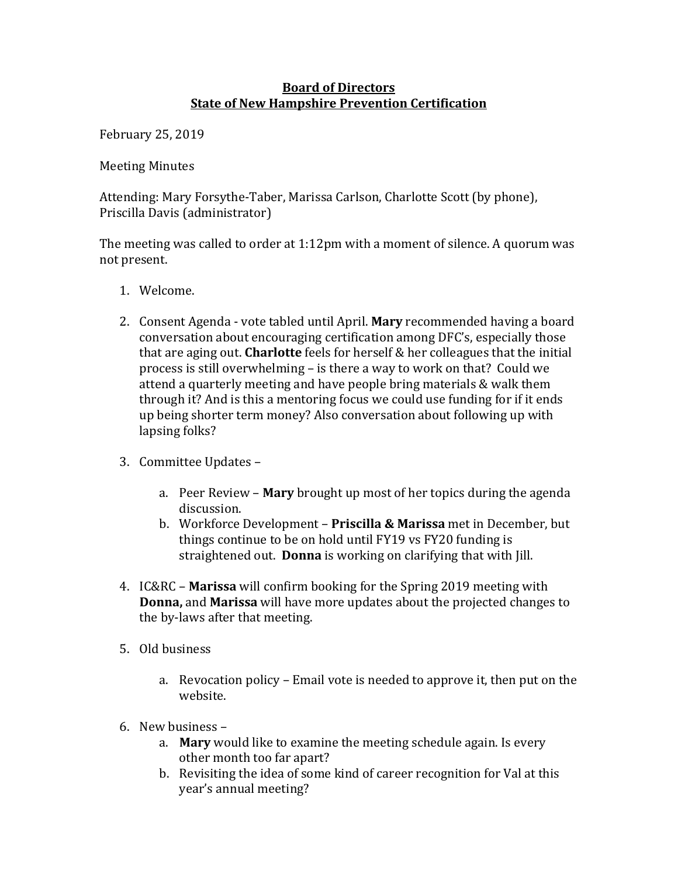## **Board of Directors State of New Hampshire Prevention Certification**

February 25, 2019 

**Meeting Minutes** 

Attending: Mary Forsythe-Taber, Marissa Carlson, Charlotte Scott (by phone), Priscilla Davis (administrator)

The meeting was called to order at  $1:12$ pm with a moment of silence. A quorum was not present.

- 1. Welcome.
- 2. Consent Agenda vote tabled until April. **Mary** recommended having a board conversation about encouraging certification among DFC's, especially those that are aging out. **Charlotte** feels for herself & her colleagues that the initial process is still overwhelming – is there a way to work on that? Could we attend a quarterly meeting and have people bring materials & walk them through it? And is this a mentoring focus we could use funding for if it ends up being shorter term money? Also conversation about following up with lapsing folks?
- 3. Committee Updates
	- a. Peer Review **Mary** brought up most of her topics during the agenda discussion.
	- b. Workforce Development Priscilla & Marissa met in December, but things continue to be on hold until FY19 vs FY20 funding is straightened out. **Donna** is working on clarifying that with *Jill*.
- 4. IC&RC **Marissa** will confirm booking for the Spring 2019 meeting with **Donna,** and **Marissa** will have more updates about the projected changes to the by-laws after that meeting.
- 5. Old business
	- a. Revocation policy Email vote is needed to approve it, then put on the website.
- 6. New business
	- a. Mary would like to examine the meeting schedule again. Is every other month too far apart?
	- b. Revisiting the idea of some kind of career recognition for Val at this year's annual meeting?